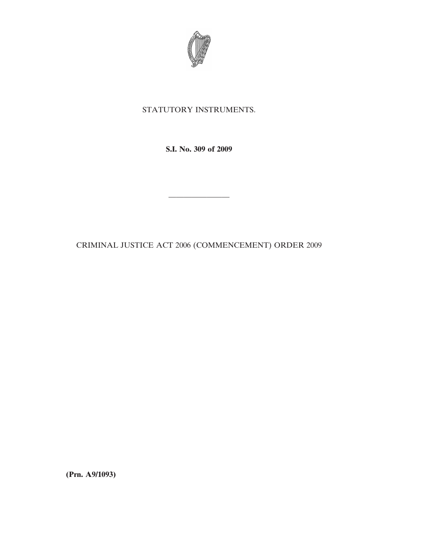

## STATUTORY INSTRUMENTS.

**S.I. No. 309 of 2009**

CRIMINAL JUSTICE ACT 2006 (COMMENCEMENT) ORDER 2009

————————

**(Prn. A9/1093)**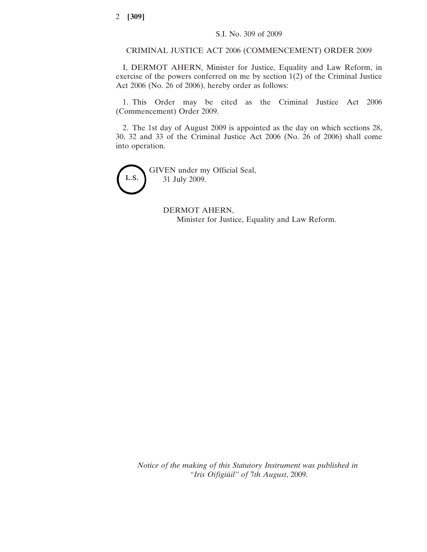## CRIMINAL JUSTICE ACT 2006 (COMMENCEMENT) ORDER 2009

I, DERMOT AHERN, Minister for Justice, Equality and Law Reform, in exercise of the powers conferred on me by section 1(2) of the Criminal Justice Act 2006 (No. 26 of 2006), hereby order as follows:

1. This Order may be cited as the Criminal Justice Act 2006 (Commencement) Order 2009.

2. The 1st day of August 2009 is appointed as the day on which sections 28, 30, 32 and 33 of the Criminal Justice Act 2006 (No. 26 of 2006) shall come into operation.

GIVEN under my Official Seal, L.S. 31 July 2009.

> DERMOT AHERN, Minister for Justice, Equality and Law Reform.

*Notice of the making of this Statutory Instrument was published in "Iris Oifigiu´il" of* 7*th August*, 2009.